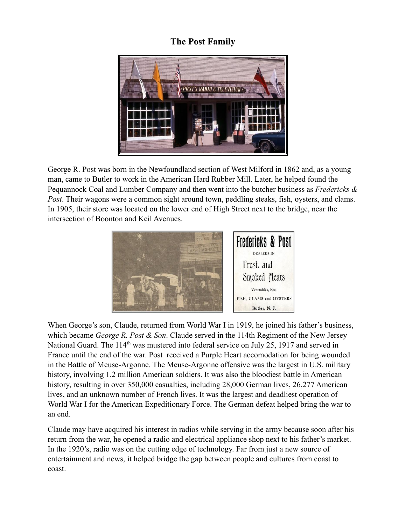## **The Post Family**



George R. Post was born in the Newfoundland section of West Milford in 1862 and, as a young man, came to Butler to work in the American Hard Rubber Mill. Later, he helped found the Pequannock Coal and Lumber Company and then went into the butcher business as *Fredericks & Post*. Their wagons were a common sight around town, peddling steaks, fish, oysters, and clams. In 1905, their store was located on the lower end of High Street next to the bridge, near the intersection of Boonton and Keil Avenues.



When George's son, Claude, returned from World War I in 1919, he joined his father's business, which became *George R. Post & Son*. Claude served in the 114th Regiment of the New Jersey National Guard. The 114<sup>th</sup> was mustered into federal service on July 25, 1917 and served in France until the end of the war. Post received a Purple Heart accomodation for being wounded in the Battle of Meuse-Argonne. The Meuse-Argonne offensive was the largest in U.S. military history, involving 1.2 million American soldiers. It was also the bloodiest battle in American history, resulting in over 350,000 casualties, including 28,000 German lives, 26,277 American lives, and an unknown number of French lives. It was the largest and deadliest operation of World War I for the American Expeditionary Force. The German defeat helped bring the war to an end.

Claude may have acquired his interest in radios while serving in the army because soon after his return from the war, he opened a radio and electrical appliance shop next to his father's market. In the 1920's, radio was on the cutting edge of technology. Far from just a new source of entertainment and news, it helped bridge the gap between people and cultures from coast to coast.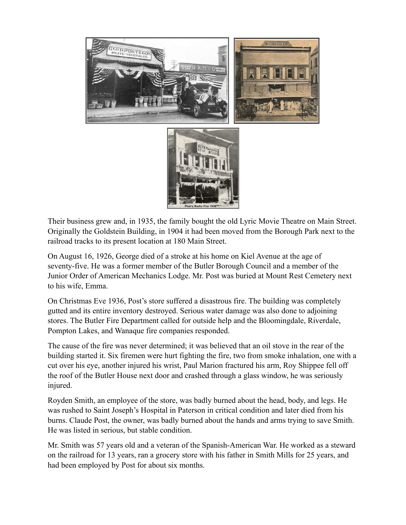

Their business grew and, in 1935, the family bought the old Lyric Movie Theatre on Main Street. Originally the Goldstein Building, in 1904 it had been moved from the Borough Park next to the railroad tracks to its present location at 180 Main Street.

On August 16, 1926, George died of a stroke at his home on Kiel Avenue at the age of seventy-five. He was a former member of the Butler Borough Council and a member of the Junior Order of American Mechanics Lodge. Mr. Post was buried at Mount Rest Cemetery next to his wife, Emma.

On Christmas Eve 1936, Post's store suffered a disastrous fire. The building was completely gutted and its entire inventory destroyed. Serious water damage was also done to adjoining stores. The Butler Fire Department called for outside help and the Bloomingdale, Riverdale, Pompton Lakes, and Wanaque fire companies responded.

The cause of the fire was never determined; it was believed that an oil stove in the rear of the building started it. Six firemen were hurt fighting the fire, two from smoke inhalation, one with a cut over his eye, another injured his wrist, Paul Marion fractured his arm, Roy Shippee fell off the roof of the Butler House next door and crashed through a glass window, he was seriously injured.

Royden Smith, an employee of the store, was badly burned about the head, body, and legs. He was rushed to Saint Joseph's Hospital in Paterson in critical condition and later died from his burns. Claude Post, the owner, was badly burned about the hands and arms trying to save Smith. He was listed in serious, but stable condition.

Mr. Smith was 57 years old and a veteran of the Spanish-American War. He worked as a steward on the railroad for 13 years, ran a grocery store with his father in Smith Mills for 25 years, and had been employed by Post for about six months.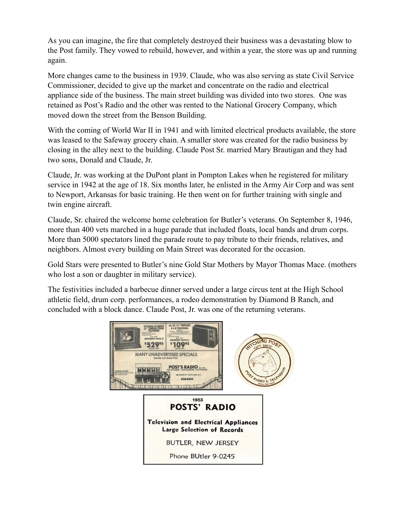As you can imagine, the fire that completely destroyed their business was a devastating blow to the Post family. They vowed to rebuild, however, and within a year, the store was up and running again.

More changes came to the business in 1939. Claude, who was also serving as state Civil Service Commissioner, decided to give up the market and concentrate on the radio and electrical appliance side of the business. The main street building was divided into two stores. One was retained as Post's Radio and the other was rented to the National Grocery Company, which moved down the street from the Benson Building.

With the coming of World War II in 1941 and with limited electrical products available, the store was leased to the Safeway grocery chain. A smaller store was created for the radio business by closing in the alley next to the building. Claude Post Sr. married Mary Brautigan and they had two sons, Donald and Claude, Jr.

Claude, Jr. was working at the DuPont plant in Pompton Lakes when he registered for military service in 1942 at the age of 18. Six months later, he enlisted in the Army Air Corp and was sent to Newport, Arkansas for basic training. He then went on for further training with single and twin engine aircraft.

Claude, Sr. chaired the welcome home celebration for Butler's veterans. On September 8, 1946, more than 400 vets marched in a huge parade that included floats, local bands and drum corps. More than 5000 spectators lined the parade route to pay tribute to their friends, relatives, and neighbors. Almost every building on Main Street was decorated for the occasion.

Gold Stars were presented to Butler's nine Gold Star Mothers by Mayor Thomas Mace. (mothers who lost a son or daughter in military service).

The festivities included a barbecue dinner served under a large circus tent at the High School athletic field, drum corp. performances, a rodeo demonstration by Diamond B Ranch, and concluded with a block dance. Claude Post, Jr. was one of the returning veterans.

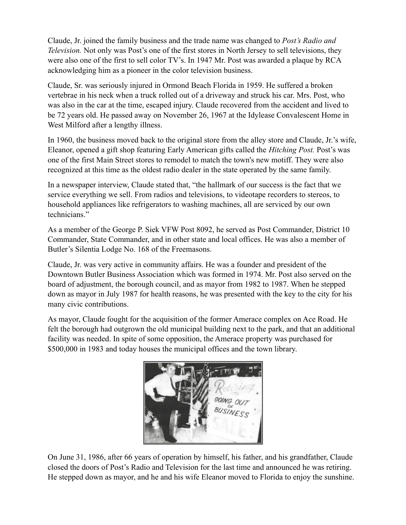Claude, Jr. joined the family business and the trade name was changed to *Post's Radio and Television.* Not only was Post's one of the first stores in North Jersey to sell televisions, they were also one of the first to sell color TV's. In 1947 Mr. Post was awarded a plaque by RCA acknowledging him as a pioneer in the color television business.

Claude, Sr. was seriously injured in Ormond Beach Florida in 1959. He suffered a broken vertebrae in his neck when a truck rolled out of a driveway and struck his car. Mrs. Post, who was also in the car at the time, escaped injury. Claude recovered from the accident and lived to be 72 years old. He passed away on November 26, 1967 at the Idylease Convalescent Home in West Milford after a lengthy illness.

In 1960, the business moved back to the original store from the alley store and Claude, Jr.'s wife, Eleanor, opened a gift shop featuring Early American gifts called the *Hitching Post.* Post's was one of the first Main Street stores to remodel to match the town's new motiff. They were also recognized at this time as the oldest radio dealer in the state operated by the same family.

In a newspaper interview, Claude stated that, "the hallmark of our success is the fact that we service everything we sell. From radios and televisions, to videotape recorders to stereos, to household appliances like refrigerators to washing machines, all are serviced by our own technicians."

As a member of the George P. Siek VFW Post 8092, he served as Post Commander, District 10 Commander, State Commander, and in other state and local offices. He was also a member of Butler's Silentia Lodge No. 168 of the Freemasons.

Claude, Jr. was very active in community affairs. He was a founder and president of the Downtown Butler Business Association which was formed in 1974. Mr. Post also served on the board of adjustment, the borough council, and as mayor from 1982 to 1987. When he stepped down as mayor in July 1987 for health reasons, he was presented with the key to the city for his many civic contributions.

As mayor, Claude fought for the acquisition of the former Amerace complex on Ace Road. He felt the borough had outgrown the old municipal building next to the park, and that an additional facility was needed. In spite of some opposition, the Amerace property was purchased for \$500,000 in 1983 and today houses the municipal offices and the town library.



On June 31, 1986, after 66 years of operation by himself, his father, and his grandfather, Claude closed the doors of Post's Radio and Television for the last time and announced he was retiring. He stepped down as mayor, and he and his wife Eleanor moved to Florida to enjoy the sunshine.